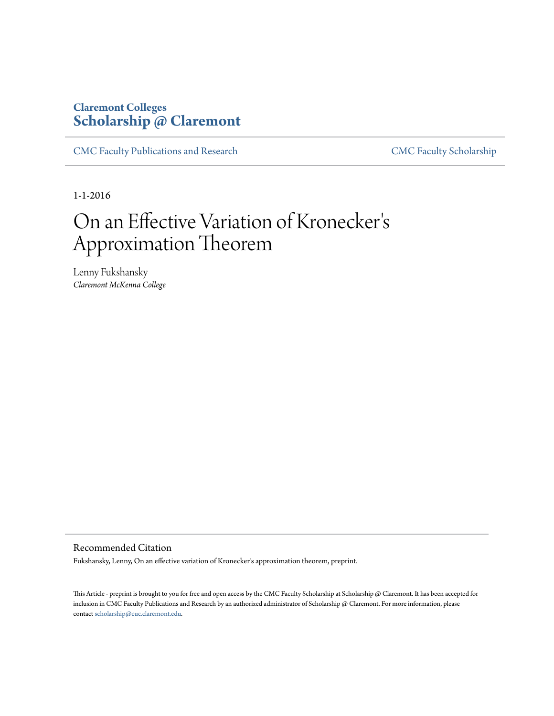# **Claremont Colleges [Scholarship @ Claremont](http://scholarship.claremont.edu)**

[CMC Faculty Publications and Research](http://scholarship.claremont.edu/cmc_fac_pub) [CMC Faculty Scholarship](http://scholarship.claremont.edu/cmc_faculty)

1-1-2016

# On an Effective Variation of Kronecker ' s Approximation Theorem

Lenny Fukshansky *Claremont McKenna College*

Recommended Citation

Fukshansky, Lenny, On an effective variation of Kronecker's approximation theorem, preprint.

This Article - preprint is brought to you for free and open access by the CMC Faculty Scholarship at Scholarship @ Claremont. It has been accepted for inclusion in CMC Faculty Publications and Research by an authorized administrator of Scholarship @ Claremont. For more information, please contact [scholarship@cuc.claremont.edu](mailto:scholarship@cuc.claremont.edu).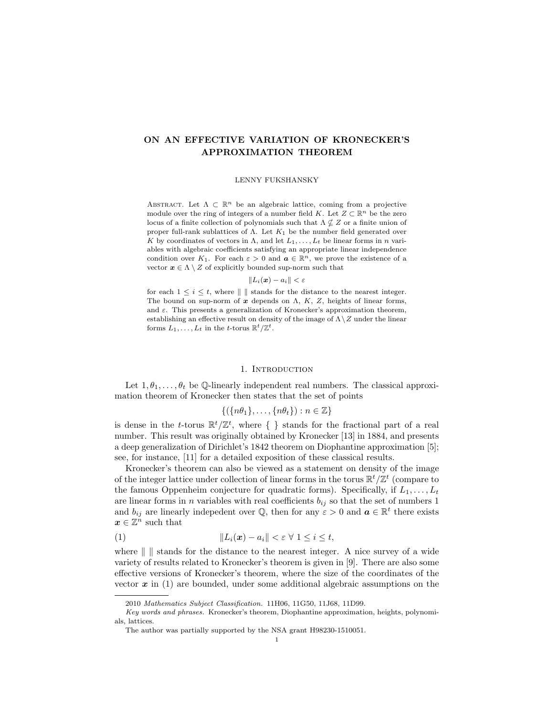## ON AN EFFECTIVE VARIATION OF KRONECKER'S APPROXIMATION THEOREM

#### LENNY FUKSHANSKY

ABSTRACT. Let  $\Lambda \subset \mathbb{R}^n$  be an algebraic lattice, coming from a projective module over the ring of integers of a number field  $K.$  Let  $Z \subset \mathbb{R}^n$  be the zero locus of a finite collection of polynomials such that  $\Lambda \nsubseteq Z$  or a finite union of proper full-rank sublattices of Λ. Let  $K_1$  be the number field generated over K by coordinates of vectors in  $\Lambda$ , and let  $L_1, \ldots, L_t$  be linear forms in n variables with algebraic coefficients satisfying an appropriate linear independence condition over  $K_1$ . For each  $\varepsilon > 0$  and  $\boldsymbol{a} \in \mathbb{R}^n$ , we prove the existence of a vector  $x \in \Lambda \setminus Z$  of explicitly bounded sup-norm such that

 $\|L_i(\boldsymbol{x}) - a_i\| < \varepsilon$ 

for each  $1 \leq i \leq t$ , where  $\| \ \|$  stands for the distance to the nearest integer. The bound on sup-norm of  $x$  depends on  $\Lambda$ ,  $K$ ,  $Z$ , heights of linear forms, and  $\varepsilon$ . This presents a generalization of Kronecker's approximation theorem, establishing an effective result on density of the image of  $\Lambda \setminus Z$  under the linear forms  $L_1, \ldots, L_t$  in the t-torus  $\mathbb{R}^t/\mathbb{Z}^t$ .

### 1. Introduction

<span id="page-1-1"></span>Let  $1, \theta_1, \ldots, \theta_t$  be Q-linearly independent real numbers. The classical approximation theorem of Kronecker then states that the set of points

$$
\{(\{n\theta_1\},\ldots,\{n\theta_t\}):n\in\mathbb{Z}\}\
$$

is dense in the t-torus  $\mathbb{R}^t/\mathbb{Z}^t$ , where  $\{\}\$  stands for the fractional part of a real number. This result was originally obtained by Kronecker [\[13\]](#page-12-0) in 1884, and presents a deep generalization of Dirichlet's 1842 theorem on Diophantine approximation [\[5\]](#page-11-0); see, for instance, [\[11\]](#page-12-1) for a detailed exposition of these classical results.

Kronecker's theorem can also be viewed as a statement on density of the image of the integer lattice under collection of linear forms in the torus  $\mathbb{R}^t/\mathbb{Z}^t$  (compare to the famous Oppenheim conjecture for quadratic forms). Specifically, if  $L_1, \ldots, L_t$ are linear forms in n variables with real coefficients  $b_{ij}$  so that the set of numbers 1 and  $b_{ij}$  are linearly indepedent over Q, then for any  $\varepsilon > 0$  and  $\boldsymbol{a} \in \mathbb{R}^t$  there exists  $x \in \mathbb{Z}^n$  such that

<span id="page-1-0"></span>(1) kLi(x) − aik < ε ∀ 1 ≤ i ≤ t,

where  $\| \cdot \|$  stands for the distance to the nearest integer. A nice survey of a wide variety of results related to Kronecker's theorem is given in [\[9\]](#page-11-1). There are also some effective versions of Kronecker's theorem, where the size of the coordinates of the vector  $x$  in [\(1\)](#page-1-0) are bounded, under some additional algebraic assumptions on the

<sup>2010</sup> Mathematics Subject Classification. 11H06, 11G50, 11J68, 11D99.

Key words and phrases. Kronecker's theorem, Diophantine approximation, heights, polynomials, lattices.

The author was partially supported by the NSA grant H98230-1510051.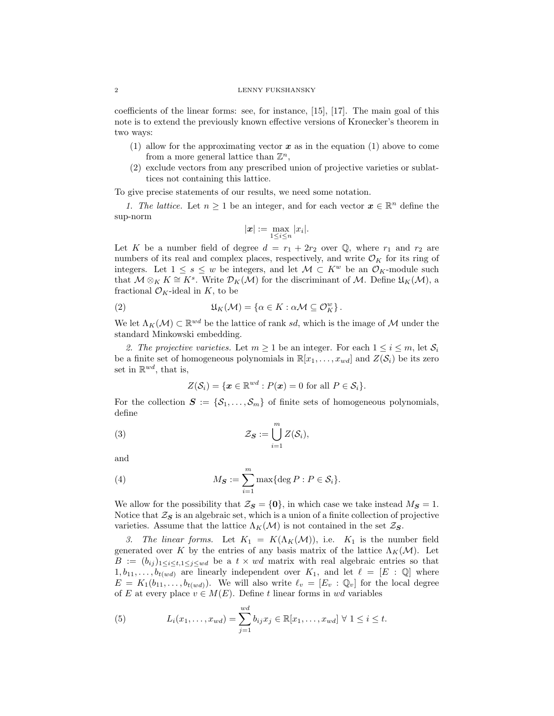coefficients of the linear forms: see, for instance, [\[15\]](#page-12-2), [\[17\]](#page-12-3). The main goal of this note is to extend the previously known effective versions of Kronecker's theorem in two ways:

- (1) allow for the approximating vector  $x$  as in the equation [\(1\)](#page-1-0) above to come from a more general lattice than  $\mathbb{Z}^n$ ,
- (2) exclude vectors from any prescribed union of projective varieties or sublattices not containing this lattice.

To give precise statements of our results, we need some notation.

1. The lattice. Let  $n \geq 1$  be an integer, and for each vector  $\mathbf{x} \in \mathbb{R}^n$  define the sup-norm

$$
|\boldsymbol{x}| := \max_{1 \leq i \leq n} |x_i|.
$$

Let K be a number field of degree  $d = r_1 + 2r_2$  over Q, where  $r_1$  and  $r_2$  are numbers of its real and complex places, respectively, and write  $\mathcal{O}_K$  for its ring of integers. Let  $1 \leq s \leq w$  be integers, and let  $\mathcal{M} \subset K^w$  be an  $\mathcal{O}_K$ -module such that  $\mathcal{M} \otimes_K K \cong K^s$ . Write  $\mathcal{D}_K(\mathcal{M})$  for the discriminant of  $\mathcal{M}$ . Define  $\mathfrak{U}_K(\mathcal{M})$ , a fractional  $\mathcal{O}_K$ -ideal in K, to be

(2) 
$$
\mathfrak{U}_K(\mathcal{M}) = \{ \alpha \in K : \alpha \mathcal{M} \subseteq \mathcal{O}_K^w \}.
$$

We let  $\Lambda_K(\mathcal{M}) \subset \mathbb{R}^{wd}$  be the lattice of rank sd, which is the image of M under the standard Minkowski embedding.

2. The projective varieties. Let  $m \geq 1$  be an integer. For each  $1 \leq i \leq m$ , let  $S_i$ be a finite set of homogeneous polynomials in  $\mathbb{R}[x_1, \ldots, x_{wd}]$  and  $Z(S_i)$  be its zero set in  $\mathbb{R}^{wd}$ , that is,

$$
Z(S_i) = \{ \boldsymbol{x} \in \mathbb{R}^{wd} : P(\boldsymbol{x}) = 0 \text{ for all } P \in S_i \}.
$$

For the collection  $S := \{S_1, \ldots, S_m\}$  of finite sets of homogeneous polynomials, define

(3) 
$$
\mathcal{Z}_{\mathbf{S}} := \bigcup_{i=1}^{m} Z(\mathcal{S}_i),
$$

and

(4) 
$$
M_{\mathcal{S}} := \sum_{i=1}^{m} \max \{ \deg P : P \in \mathcal{S}_i \}.
$$

We allow for the possibility that  $\mathcal{Z}_{\mathbf{S}} = \{0\}$ , in which case we take instead  $M_{\mathbf{S}} = 1$ . Notice that  $\mathcal{Z}_S$  is an algebraic set, which is a union of a finite collection of projective varieties. Assume that the lattice  $\Lambda_K(\mathcal{M})$  is not contained in the set  $\mathcal{Z}_\mathbf{S}$ .

3. The linear forms. Let  $K_1 = K(\Lambda_K(\mathcal{M}))$ , i.e.  $K_1$  is the number field generated over K by the entries of any basis matrix of the lattice  $\Lambda_K(\mathcal{M})$ . Let  $B := (b_{ij})_{1 \leq i \leq t, 1 \leq j \leq wd}$  be a  $t \times wd$  matrix with real algebraic entries so that  $1, b_{11}, \ldots, b_{t(wd)}$  are linearly independent over  $K_1$ , and let  $\ell = [E : \mathbb{Q}]$  where  $E = K_1(b_{11}, \ldots, b_{t(wd)})$ . We will also write  $\ell_v = [E_v : \mathbb{Q}_v]$  for the local degree of E at every place  $v \in M(E)$ . Define t linear forms in wd variables

<span id="page-2-0"></span>(5) 
$$
L_i(x_1,...,x_{wd}) = \sum_{j=1}^{wd} b_{ij} x_j \in \mathbb{R}[x_1,...,x_{wd}] \ \forall \ 1 \leq i \leq t.
$$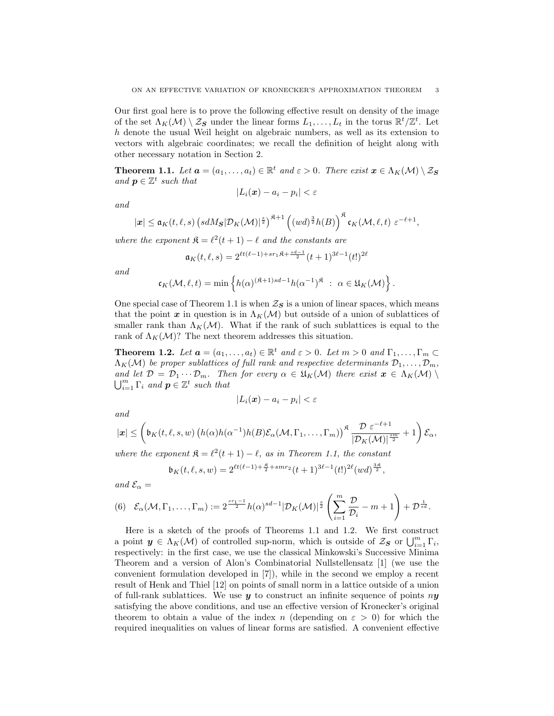Our first goal here is to prove the following effective result on density of the image of the set  $\Lambda_K(\mathcal{M})\setminus\mathcal{Z}_{\mathbf{S}}$  under the linear forms  $L_1,\ldots,L_t$  in the torus  $\mathbb{R}^t/\mathbb{Z}^t$ . Let h denote the usual Weil height on algebraic numbers, as well as its extension to vectors with algebraic coordinates; we recall the definition of height along with other necessary notation in Section [2.](#page-4-0)

<span id="page-3-0"></span>**Theorem 1.1.** Let  $\mathbf{a} = (a_1, \ldots, a_t) \in \mathbb{R}^t$  and  $\varepsilon > 0$ . There exist  $\mathbf{x} \in \Lambda_K(\mathcal{M}) \setminus \mathcal{Z}_S$ and  $p \in \mathbb{Z}^t$  such that

$$
|L_i(\boldsymbol{x}) - a_i - p_i| < \varepsilon
$$

$$
\ and
$$

$$
|\boldsymbol{x}|\leq \mathfrak{a}_K(t,\ell,s)\left(\mathit{sd}M_{\boldsymbol{S}}|\mathcal{D}_K(\mathcal{M})|^{\frac{s}{2}}\right)^{\mathfrak{K}+1}\left((\mathit{wd})^{\frac{3}{2}}h(B)\right)^{\mathfrak{K}}\mathfrak{c}_K(\mathcal{M},\ell,t)\,\,\varepsilon^{-\ell+1},
$$

where the exponent  $\mathfrak{K} = \ell^2(t + 1) - \ell$  and the constants are

$$
\mathfrak{a}_K(t,\ell,s) = 2^{\ell t(\ell-1) + s r_1 \mathfrak{K} + \frac{sd-1}{2}} (t+1)^{3\ell-1} (t!)^{2\ell}
$$

and

$$
\mathfrak{c}_K(\mathcal{M}, \ell, t) = \min \left\{ h(\alpha)^{(\mathfrak{K}+1)sd-1} h(\alpha^{-1})^{\mathfrak{K}} \; : \; \alpha \in \mathfrak{U}_K(\mathcal{M}) \right\}.
$$

One special case of Theorem [1.1](#page-3-0) is when  $\mathcal{Z}_s$  is a union of linear spaces, which means that the point x in question is in  $\Lambda_K(\mathcal{M})$  but outside of a union of sublattices of smaller rank than  $\Lambda_K(\mathcal{M})$ . What if the rank of such sublattices is equal to the rank of  $\Lambda_K(\mathcal{M})$ ? The next theorem addresses this situation.

<span id="page-3-1"></span>**Theorem 1.2.** Let  $\mathbf{a} = (a_1, \ldots, a_t) \in \mathbb{R}^t$  and  $\varepsilon > 0$ . Let  $m > 0$  and  $\Gamma_1, \ldots, \Gamma_m \subset$  $\Lambda_K(\mathcal{M})$  be proper sublattices of full rank and respective determinants  $\mathcal{D}_1, \ldots, \mathcal{D}_m$ , and let  $\mathcal{D} = \mathcal{D}_1 \cdots \mathcal{D}_m$ . Then for every  $\alpha \in \mathfrak{U}_K(\mathcal{M})$  there exist  $\mathbf{x} \in \Lambda_K(\mathcal{M})$  $\bigcup_{i=1}^m \Gamma_i$  and  $p \in \mathbb{Z}^t$  such that

$$
|L_i(\boldsymbol{x}) - a_i - p_i| < \varepsilon
$$

and

$$
|\boldsymbol{x}| \leq \left(\mathfrak{b}_K(t,\ell,s,w)\left(h(\alpha)h(\alpha^{-1})h(B)\mathcal{E}_{\alpha}(\mathcal{M},\Gamma_1,\ldots,\Gamma_m)\right)^{\mathfrak{K}}\frac{\mathcal{D} \varepsilon^{-\ell+1}}{|\mathcal{D}_K(\mathcal{M})|^{\frac{s m}{2}}}+1\right)\mathcal{E}_{\alpha},
$$

where the exponent  $\mathfrak{K} = \ell^2(t + 1) - \ell$ , as in Theorem [1.1,](#page-3-0) the constant

$$
\mathfrak{b}_K(t,\ell,s,w) = 2^{\ell t(\ell-1) + \frac{8}{2} + smr_2} (t+1)^{3\ell-1} (t!)^{2\ell} (wd)^{\frac{3\ell}{2}},
$$

and  $\mathcal{E}_{\alpha} =$ 

<span id="page-3-2"></span>
$$
(6) \quad \mathcal{E}_{\alpha}(\mathcal{M},\Gamma_1,\ldots,\Gamma_m):=2^{\frac{s r_1-1}{2}}h(\alpha)^{sd-1}|\mathcal{D}_K(\mathcal{M})|^{\frac{s}{2}}\left(\sum_{i=1}^m\frac{\mathcal{D}}{\mathcal{D}_i}-m+1\right)+\mathcal{D}^{\frac{1}{sd}}.
$$

Here is a sketch of the proofs of Theorems [1.1](#page-3-0) and [1.2.](#page-3-1) We first construct a point  $y \in \Lambda_K(\mathcal{M})$  of controlled sup-norm, which is outside of  $\mathcal{Z}_S$  or  $\bigcup_{i=1}^m \Gamma_i$ , respectively: in the first case, we use the classical Minkowski's Successive Minima Theorem and a version of Alon's Combinatorial Nullstellensatz [\[1\]](#page-11-2) (we use the convenient formulation developed in [\[7\]](#page-11-3)), while in the second we employ a recent result of Henk and Thiel [\[12\]](#page-12-4) on points of small norm in a lattice outside of a union of full-rank sublattices. We use  $y$  to construct an infinite sequence of points  $ny$ satisfying the above conditions, and use an effective version of Kronecker's original theorem to obtain a value of the index n (depending on  $\varepsilon > 0$ ) for which the required inequalities on values of linear forms are satisfied. A convenient effective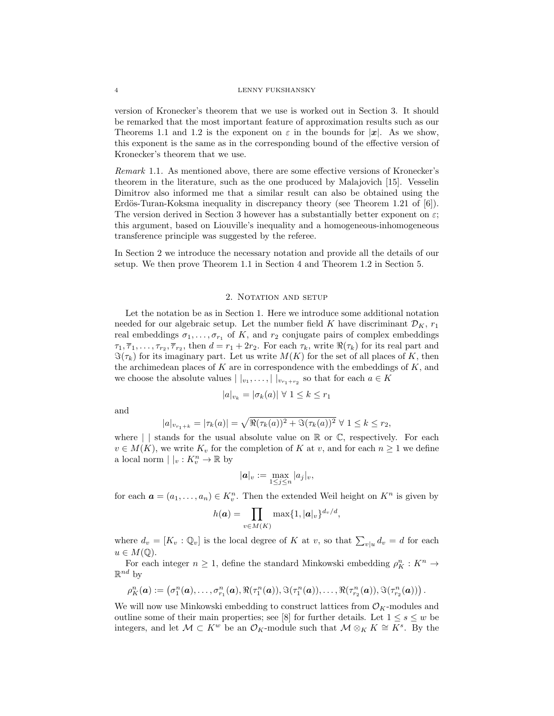version of Kronecker's theorem that we use is worked out in Section [3.](#page-5-0) It should be remarked that the most important feature of approximation results such as our Theorems [1.1](#page-3-0) and [1.2](#page-3-1) is the exponent on  $\varepsilon$  in the bounds for  $|x|$ . As we show, this exponent is the same as in the corresponding bound of the effective version of Kronecker's theorem that we use.

Remark 1.1. As mentioned above, there are some effective versions of Kronecker's theorem in the literature, such as the one produced by Malajovich [\[15\]](#page-12-2). Vesselin Dimitrov also informed me that a similar result can also be obtained using the Erdös-Turan-Koksma inequality in discrepancy theory (see Theorem 1.21 of  $[6]$ ). The version derived in Section [3](#page-5-0) however has a substantially better exponent on  $\varepsilon$ ; this argument, based on Liouville's inequality and a homogeneous-inhomogeneous transference principle was suggested by the referee.

In Section [2](#page-4-0) we introduce the necessary notation and provide all the details of our setup. We then prove Theorem [1.1](#page-3-0) in Section [4](#page-7-0) and Theorem [1.2](#page-3-1) in Section [5.](#page-10-0)

## 2. NOTATION AND SETUP

<span id="page-4-0"></span>Let the notation be as in Section [1.](#page-1-1) Here we introduce some additional notation needed for our algebraic setup. Let the number field K have discriminant  $\mathcal{D}_K$ ,  $r_1$ real embeddings  $\sigma_1, \ldots, \sigma_{r_1}$  of K, and  $r_2$  conjugate pairs of complex embeddings  $\tau_1, \overline{\tau}_1, \ldots, \tau_{r_2}, \overline{\tau}_{r_2}$ , then  $d = r_1 + 2r_2$ . For each  $\tau_k$ , write  $\Re(\tau_k)$  for its real part and  $\Im(\tau_k)$  for its imaginary part. Let us write  $M(K)$  for the set of all places of K, then the archimedean places of  $K$  are in correspondence with the embeddings of  $K$ , and we choose the absolute values  $| \, |_{v_1}, \ldots, | \, |_{v_{r_1+r_2}}$  so that for each  $a \in K$ 

$$
|a|_{v_k} = |\sigma_k(a)| \ \forall \ 1 \leq k \leq r_1
$$

and

$$
|a|_{v_{r_1+k}} = |\tau_k(a)| = \sqrt{\Re(\tau_k(a))^2 + \Im(\tau_k(a))^2} \,\,\forall\,\, 1 \leq k \leq r_2,
$$

where  $\vert \vert$  stands for the usual absolute value on  $\mathbb R$  or  $\mathbb C$ , respectively. For each  $v \in M(K)$ , we write  $K_v$  for the completion of K at v, and for each  $n \geq 1$  we define a local norm  $| \ |_v : K_v^n \to \mathbb{R}$  by

$$
|\boldsymbol{a}|_v := \max_{1 \le j \le n} |a_j|_v,
$$

for each  $\mathbf{a} = (a_1, \ldots, a_n) \in K_v^n$ . Then the extended Weil height on  $K^n$  is given by

$$
h(\boldsymbol{a}) = \prod_{v \in M(K)} \max\{1, |\boldsymbol{a}|_v\}^{d_v/d},
$$

where  $d_v = [K_v : \mathbb{Q}_v]$  is the local degree of K at v, so that  $\sum_{v|u} d_v = d$  for each  $u \in M(\mathbb{Q}).$ 

For each integer  $n \geq 1$ , define the standard Minkowski embedding  $\rho_K^n : K^n \to$  $\mathbb{R}^{nd}$  by

$$
\rho_K^n(\mathbf{a}) := \left(\sigma_1^n(\mathbf{a}), \ldots, \sigma_{r_1}^n(\mathbf{a}), \Re(\tau_1^n(\mathbf{a})), \Im(\tau_1^n(\mathbf{a})), \ldots, \Re(\tau_{r_2}^n(\mathbf{a})), \Im(\tau_{r_2}^n(\mathbf{a}))\right).
$$

We will now use Minkowski embedding to construct lattices from  $\mathcal{O}_K$ -modules and outline some of their main properties; see [\[8\]](#page-11-5) for further details. Let  $1 \leq s \leq w$  be integers, and let  $\mathcal{M} \subset K^w$  be an  $\mathcal{O}_K$ -module such that  $\mathcal{M} \otimes_K K \cong K^s$ . By the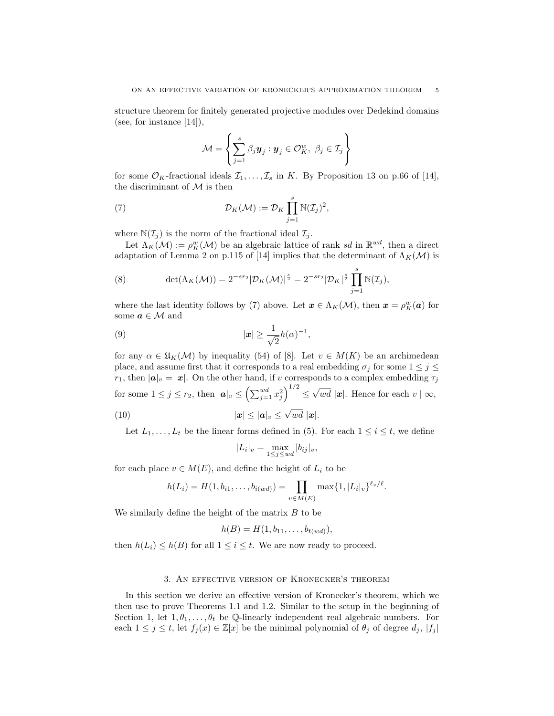structure theorem for finitely generated projective modules over Dedekind domains (see, for instance [\[14\]](#page-12-5)),

<span id="page-5-1"></span>
$$
\mathcal{M} = \left\{ \sum_{j=1}^{s} \beta_j \mathbf{y}_j : \mathbf{y}_j \in \mathcal{O}_K^w, \ \beta_j \in \mathcal{I}_j \right\}
$$

for some  $\mathcal{O}_K$ -fractional ideals  $\mathcal{I}_1, \ldots, \mathcal{I}_s$  in K. By Proposition 13 on p.66 of [\[14\]](#page-12-5), the discriminant of  $M$  is then

(7) 
$$
\mathcal{D}_K(\mathcal{M}) := \mathcal{D}_K \prod_{j=1}^s \mathbb{N}(\mathcal{I}_j)^2,
$$

where  $\mathbb{N}(\mathcal{I}_j)$  is the norm of the fractional ideal  $\mathcal{I}_j$ .

Let  $\Lambda_K(\mathcal{M}) := \rho_K^w(\mathcal{M})$  be an algebraic lattice of rank sd in  $\mathbb{R}^{wd}$ , then a direct adaptation of Lemma 2 on p.115 of [\[14\]](#page-12-5) implies that the determinant of  $\Lambda_K(\mathcal{M})$  is

<span id="page-5-4"></span>(8) 
$$
\det(\Lambda_K(\mathcal{M})) = 2^{-sr_2} |\mathcal{D}_K(\mathcal{M})|^{\frac{s}{2}} = 2^{-sr_2} |\mathcal{D}_K|^{\frac{s}{2}} \prod_{j=1}^s \mathbb{N}(\mathcal{I}_j),
$$

where the last identity follows by [\(7\)](#page-5-1) above. Let  $\mathbf{x} \in \Lambda_K(\mathcal{M})$ , then  $\mathbf{x} = \rho_K^w(\mathbf{a})$  for some  $\textit{\textbf{a}} \in \mathcal{M}$  and

$$
|\mathbf{x}| \ge \frac{1}{\sqrt{2}}h(\alpha)^{-1},
$$

for any  $\alpha \in \mathfrak{U}_K(\mathcal{M})$  by inequality (54) of [\[8\]](#page-11-5). Let  $v \in M(K)$  be an archimedean place, and assume first that it corresponds to a real embedding  $\sigma_j$  for some  $1 \leq j \leq$  $r_1$ , then  $|\boldsymbol{a}|_v = |\boldsymbol{x}|$ . On the other hand, if v corresponds to a complex embedding  $\tau_j$ for some  $1 \leq j \leq r_2$ , then  $|\boldsymbol{a}|_v \leq \left(\sum_{j=1}^{wd} x_j^2\right)^{1/2} \leq$ √ wd |x|. Hence for each  $v | \infty$ , (10)  $|\mathbf{x}| \leq |\mathbf{a}|_v \leq$ √  $wd |x|.$ 

Let  $L_1, \ldots, L_t$  be the linear forms defined in [\(5\)](#page-2-0). For each  $1 \leq i \leq t$ , we define

<span id="page-5-3"></span><span id="page-5-2"></span>
$$
|L_i|_v = \max_{1 \le j \le wd} |b_{ij}|_v,
$$

for each place  $v \in M(E)$ , and define the height of  $L_i$  to be

$$
h(L_i) = H(1, b_{i1}, \dots, b_{i(wd)}) = \prod_{v \in M(E)} \max\{1, |L_i|_v\}^{\ell_v/\ell}.
$$

We similarly define the height of the matrix  $B$  to be

$$
h(B) = H(1, b_{11}, \ldots, b_{t(wd)}),
$$

then  $h(L_i) \leq h(B)$  for all  $1 \leq i \leq t$ . We are now ready to proceed.

## 3. An effective version of Kronecker's theorem

<span id="page-5-0"></span>In this section we derive an effective version of Kronecker's theorem, which we then use to prove Theorems [1.1](#page-3-0) and [1.2.](#page-3-1) Similar to the setup in the beginning of Section [1,](#page-1-1) let  $1, \theta_1, \ldots, \theta_t$  be Q-linearly independent real algebraic numbers. For each  $1 \leq j \leq t$ , let  $f_j(x) \in \mathbb{Z}[x]$  be the minimal polynomial of  $\theta_j$  of degree  $d_j$ ,  $|f_j|$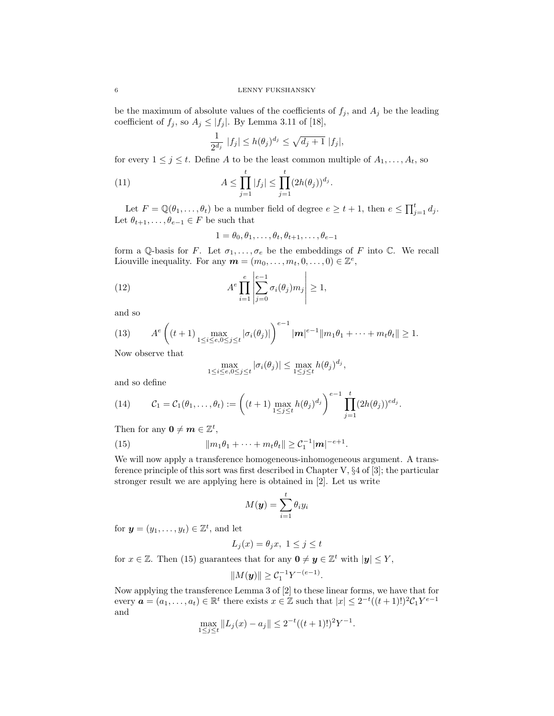be the maximum of absolute values of the coefficients of  $f_j$ , and  $A_j$  be the leading coefficient of  $f_j$ , so  $A_j \leq |f_j|$ . By Lemma 3.11 of [\[18\]](#page-12-6),

$$
\frac{1}{2^{d_j}} |f_j| \le h(\theta_j)^{d_j} \le \sqrt{d_j+1} |f_j|,
$$

for every  $1 \leq j \leq t$ . Define A to be the least common multiple of  $A_1, \ldots, A_t$ , so

(11) 
$$
A \leq \prod_{j=1}^t |f_j| \leq \prod_{j=1}^t (2h(\theta_j))^{d_j}.
$$

Let  $F = \mathbb{Q}(\theta_1, \dots, \theta_t)$  be a number field of degree  $e \ge t + 1$ , then  $e \le \prod_{j=1}^t d_j$ . Let  $\theta_{t+1}, \ldots, \theta_{e-1} \in F$  be such that

$$
1 = \theta_0, \theta_1, \dots, \theta_t, \theta_{t+1}, \dots, \theta_{e-1}
$$

form a Q-basis for F. Let  $\sigma_1, \ldots, \sigma_e$  be the embeddings of F into C. We recall Liouville inequality. For any  $\mathbf{m} = (m_0, \ldots, m_t, 0, \ldots, 0) \in \mathbb{Z}^e$ ,

(12) 
$$
A^e \prod_{i=1}^e \left| \sum_{j=0}^{e-1} \sigma_i(\theta_j) m_j \right| \ge 1,
$$

and so

(13) 
$$
A^{e}\left((t+1)\max_{1\leq i\leq e, 0\leq j\leq t}|\sigma_{i}(\theta_{j})|\right)^{e-1}|\mathbf{m}|^{e-1}||m_{1}\theta_{1}+\cdots+m_{t}\theta_{t}||\geq 1.
$$

Now observe that

$$
\max_{1 \le i \le e, 0 \le j \le t} |\sigma_i(\theta_j)| \le \max_{1 \le j \le t} h(\theta_j)^{d_j},
$$

and so define

<span id="page-6-1"></span>(14) 
$$
C_1 = C_1(\theta_1, ..., \theta_t) := \left( (t+1) \max_{1 \leq j \leq t} h(\theta_j)^{d_j} \right)^{e-1} \prod_{j=1}^t (2h(\theta_j))^{ed_j}.
$$

Then for any  $\mathbf{0} \neq \mathbf{m} \in \mathbb{Z}^t$ ,

(15) 
$$
||m_1\theta_1 + \cdots + m_t\theta_t|| \geq C_1^{-1}|\mathbf{m}|^{-e+1}.
$$

We will now apply a transference homogeneous-inhomogeneous argument. A transference principle of this sort was first described in Chapter V, §4 of [\[3\]](#page-11-6); the particular stronger result we are applying here is obtained in [\[2\]](#page-11-7). Let us write

<span id="page-6-0"></span>
$$
M(\boldsymbol{y}) = \sum_{i=1}^t \theta_i y_i
$$

for  $\mathbf{y} = (y_1, \dots, y_t) \in \mathbb{Z}^t$ , and let

$$
L_j(x) = \theta_j x, \ 1 \le j \le t
$$

for  $x \in \mathbb{Z}$ . Then [\(15\)](#page-6-0) guarantees that for any  $\mathbf{0} \neq \mathbf{y} \in \mathbb{Z}^t$  with  $|\mathbf{y}| \leq Y$ ,

$$
||M(\mathbf{y})|| \geq C_1^{-1}Y^{-(e-1)}
$$

.

Now applying the transference Lemma 3 of [\[2\]](#page-11-7) to these linear forms, we have that for every  $\boldsymbol{a} = (a_1, \ldots, a_t) \in \mathbb{R}^t$  there exists  $x \in \mathbb{Z}$  such that  $|x| \leq 2^{-t}((t+1)!)^2 \mathcal{C}_1 Y^{e-1}$ and

$$
\max_{1 \le j \le t} \|L_j(x) - a_j\| \le 2^{-t}((t+1)!)^2 Y^{-1}.
$$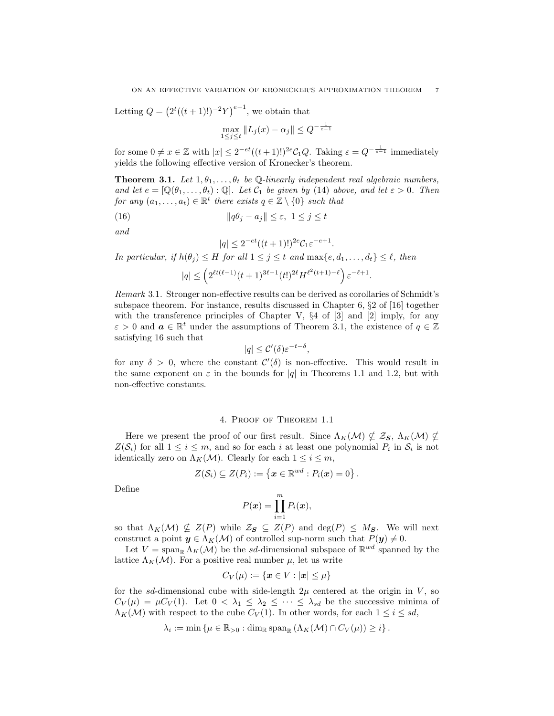Letting  $Q = (2^t((t+1)!)^{-2}Y)^{e-1}$ , we obtain that

$$
\max_{1 \le j \le t} \|L_j(x) - \alpha_j\| \le Q^{-\frac{1}{e-1}}
$$

for some  $0 \neq x \in \mathbb{Z}$  with  $|x| \leq 2^{-et}((t+1)!)^{2e}C_1Q$ . Taking  $\varepsilon = Q^{-\frac{1}{e-1}}$  immediately yields the following effective version of Kronecker's theorem.

<span id="page-7-1"></span>**Theorem 3.1.** Let  $1, \theta_1, \ldots, \theta_t$  be Q-linearly independent real algebraic numbers, and let  $e = [\mathbb{Q}(\theta_1, \dots, \theta_t) : \mathbb{Q}]$ . Let  $\mathcal{C}_1$  be given by [\(14\)](#page-6-1) above, and let  $\varepsilon > 0$ . Then for any  $(a_1, \ldots, a_t) \in \mathbb{R}^t$  there exists  $q \in \mathbb{Z} \setminus \{0\}$  such that

(16) 
$$
\|q\theta_j - a_j\| \leq \varepsilon, \ 1 \leq j \leq t
$$

and

<span id="page-7-2"></span>
$$
|q| \le 2^{-et}((t+1)!)^{2e} \mathcal{C}_1 \varepsilon^{-e+1}.
$$

In particular, if  $h(\theta_j) \leq H$  for all  $1 \leq j \leq t$  and  $\max\{e, d_1, \ldots, d_t\} \leq \ell$ , then

$$
|q| \le \left( 2^{\ell t (\ell-1)} (t+1)^{3\ell-1} (t!)^{2\ell} H^{\ell^2 (t+1)-\ell} \right) \varepsilon^{-\ell+1}.
$$

Remark 3.1. Stronger non-effective results can be derived as corollaries of Schmidt's subspace theorem. For instance, results discussed in Chapter 6, §2 of [\[16\]](#page-12-7) together with the transference principles of Chapter V,  $\S 4$  of  $\S 3$  and  $\S 2$  imply, for any  $\varepsilon > 0$  and  $\boldsymbol{a} \in \mathbb{R}^t$  under the assumptions of Theorem [3.1,](#page-7-1) the existence of  $q \in \mathbb{Z}$ satisfying [16](#page-7-2) such that

$$
|q| \leq \mathcal{C}'(\delta) \varepsilon^{-t-\delta},
$$

for any  $\delta > 0$ , where the constant  $\mathcal{C}'(\delta)$  is non-effective. This would result in the same exponent on  $\varepsilon$  in the bounds for |q| in Theorems [1.1](#page-3-0) and [1.2,](#page-3-1) but with non-effective constants.

## 4. Proof of Theorem [1.1](#page-3-0)

<span id="page-7-0"></span>Here we present the proof of our first result. Since  $\Lambda_K(\mathcal{M}) \nsubseteq \mathcal{Z}_\mathbf{S}$ ,  $\Lambda_K(\mathcal{M}) \nsubseteq$  $Z(\mathcal{S}_i)$  for all  $1 \leq i \leq m$ , and so for each i at least one polynomial  $P_i$  in  $\mathcal{S}_i$  is not identically zero on  $\Lambda_K(\mathcal{M})$ . Clearly for each  $1 \leq i \leq m$ ,

$$
Z(\mathcal{S}_i) \subseteq Z(P_i) := \left\{ \boldsymbol{x} \in \mathbb{R}^{wd} : P_i(\boldsymbol{x}) = 0 \right\}.
$$

Define

$$
P(\boldsymbol{x}) = \prod_{i=1}^m P_i(\boldsymbol{x}),
$$

so that  $\Lambda_K(\mathcal{M}) \nsubseteq Z(P)$  while  $\mathcal{Z}_S \subseteq Z(P)$  and  $\deg(P) \leq M_S$ . We will next construct a point  $y \in \Lambda_K(\mathcal{M})$  of controlled sup-norm such that  $P(y) \neq 0$ .

Let  $V = \text{span}_{\mathbb{R}} \Lambda_K(\mathcal{M})$  be the sd-dimensional subspace of  $\mathbb{R}^{wd}$  spanned by the lattice  $\Lambda_K(\mathcal{M})$ . For a positive real number  $\mu$ , let us write

$$
C_V(\mu):=\{\bm{x}\in V: |\bm{x}|\leq \mu\}
$$

for the sd-dimensional cube with side-length  $2\mu$  centered at the origin in V, so  $C_V(\mu) = \mu C_V(1)$ . Let  $0 < \lambda_1 \leq \lambda_2 \leq \cdots \leq \lambda_{sd}$  be the successive minima of  $\Lambda_K(\mathcal{M})$  with respect to the cube  $C_V(1)$ . In other words, for each  $1 \leq i \leq sd$ ,

$$
\lambda_i := \min \left\{ \mu \in \mathbb{R}_{>0} : \dim_{\mathbb{R}} \operatorname{span}_{\mathbb{R}} \left( \Lambda_K(\mathcal{M}) \cap C_V(\mu) \right) \geq i \right\}.
$$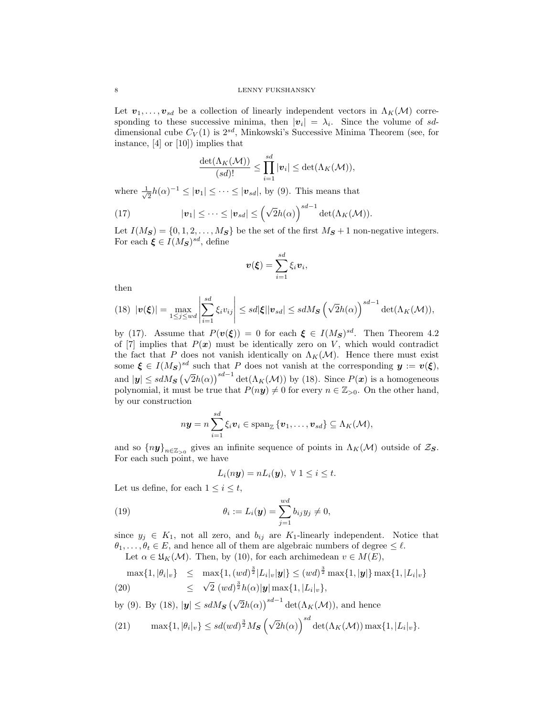Let  $v_1, \ldots, v_{sd}$  be a collection of linearly independent vectors in  $\Lambda_K(\mathcal{M})$  corresponding to these successive minima, then  $|v_i| = \lambda_i$ . Since the volume of sddimensional cube  $C_V(1)$  is  $2^{sd}$ , Minkowski's Successive Minima Theorem (see, for instance, [\[4\]](#page-11-8) or [\[10\]](#page-11-9)) implies that

<span id="page-8-0"></span>
$$
\frac{\det(\Lambda_K(\mathcal{M}))}{(sd)!} \leq \prod_{i=1}^{sd} |\mathbf{v}_i| \leq \det(\Lambda_K(\mathcal{M})),
$$

where  $\frac{1}{\sqrt{2}}$  $\frac{1}{2}h(\alpha)^{-1} \leq |v_1| \leq \cdots \leq |v_{sd}|$ , by [\(9\)](#page-5-2). This means that

(17) 
$$
|\boldsymbol{v}_1| \leq \cdots \leq |\boldsymbol{v}_{sd}| \leq \left(\sqrt{2}h(\alpha)\right)^{sd-1} \det(\Lambda_K(\mathcal{M})).
$$

Let  $I(M_S) = \{0, 1, 2, \ldots, M_S\}$  be the set of the first  $M_S + 1$  non-negative integers. For each  $\xi \in I(M_S)^{sd}$ , define

$$
\boldsymbol{v}(\boldsymbol{\xi}) = \sum_{i=1}^{sd} \xi_i \boldsymbol{v}_i,
$$

then

<span id="page-8-1"></span>
$$
(18) \ |\boldsymbol{v}(\boldsymbol{\xi})| = \max_{1 \leq j \leq wd} \left| \sum_{i=1}^{sd} \xi_i v_{ij} \right| \leq sd |\boldsymbol{\xi}| |\boldsymbol{v}_{sd}| \leq sdM\mathbf{s} \left( \sqrt{2}h(\alpha) \right)^{sd-1} \det(\Lambda_K(\mathcal{M})),
$$

by [\(17\)](#page-8-0). Assume that  $P(v(\xi)) = 0$  for each  $\xi \in I(M_S)^{sd}$ . Then Theorem 4.2 of [\[7\]](#page-11-3) implies that  $P(x)$  must be identically zero on V, which would contradict the fact that P does not vanish identically on  $\Lambda_K(\mathcal{M})$ . Hence there must exist some  $\xi \in I(M_S)^{sd}$  such that P does not vanish at the corresponding  $y := v(\xi)$ , and  $|y| \leq s dM_S \left(\sqrt{2}h(\alpha)\right)^{sd-1} \det(\Lambda_K(\mathcal{M}))$  by [\(18\)](#page-8-1). Since  $P(x)$  is a homogeneous polynomial, it must be true that  $P(ny) \neq 0$  for every  $n \in \mathbb{Z}_{>0}$ . On the other hand, by our construction

$$
n\mathbf{y}=n\sum_{i=1}^{sd}\xi_i\mathbf{v}_i\in\text{span}_{\mathbb{Z}}\{\mathbf{v}_1,\ldots,\mathbf{v}_{sd}\}\subseteq\Lambda_K(\mathcal{M}),
$$

and so  $\{ny\}_{n\in\mathbb{Z}_{>0}}$  gives an infinite sequence of points in  $\Lambda_K(\mathcal{M})$  outside of  $\mathcal{Z}_\mathbf{S}$ . For each such point, we have

<span id="page-8-2"></span>
$$
L_i(n\mathbf{y}) = nL_i(\mathbf{y}), \ \forall \ 1 \leq i \leq t.
$$

Let us define, for each  $1 \leq i \leq t$ ,

(19) 
$$
\theta_i := L_i(\mathbf{y}) = \sum_{j=1}^{wd} b_{ij} y_j \neq 0,
$$

since  $y_j \in K_1$ , not all zero, and  $b_{ij}$  are K<sub>1</sub>-linearly independent. Notice that  $\theta_1, \ldots, \theta_t \in E$ , and hence all of them are algebraic numbers of degree  $\leq \ell$ . Let  $\alpha \in \mathfrak{U}_{\kappa}(M)$ . Then, by [\(10\)](#page-5-3), for each archimedean  $v \in M(E)$ 

<span id="page-8-3"></span>
$$
\text{max}\{1, |\theta_i|_v\} \leq \max\{1, (wd)^{\frac{3}{2}}|L_i|_v|\mathbf{y}|\} \leq (wd)^{\frac{3}{2}} \max\{1, |\mathbf{y}|\} \max\{1, |L_i|_v\}
$$

(20) 
$$
\leq \sqrt{2} (wd)^{\frac{3}{2}} h(\alpha) |\mathbf{y}| \max\{1, |L_i|_v\},
$$

by (9). By (18), 
$$
|\mathbf{y}| \leq sdM_{\mathbf{S}} \left(\sqrt{2}h(\alpha)\right)^{sd-1} \det(\Lambda_K(\mathcal{M}))
$$
, and hence

(21) 
$$
\max\{1, |\theta_i|_v\} \le sd(wd)^{\frac{3}{2}}M_{\mathbf{S}}\left(\sqrt{2}h(\alpha)\right)^{sd}\det(\Lambda_K(\mathcal{M}))\max\{1, |L_i|_v\}.
$$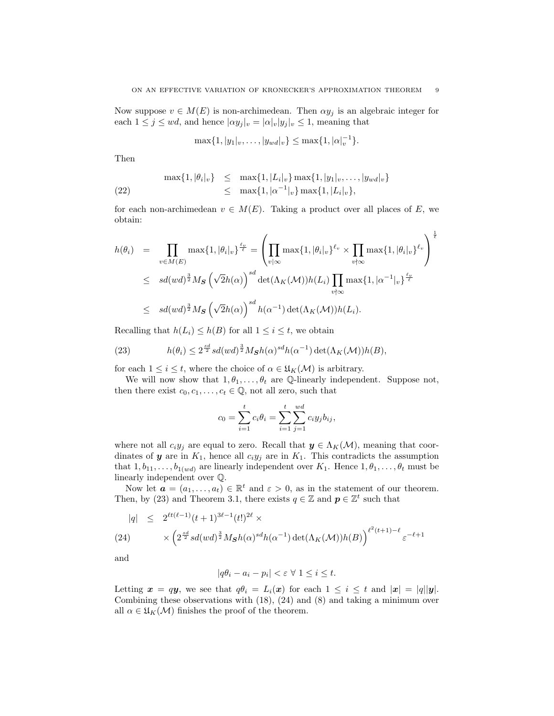Now suppose  $v \in M(E)$  is non-archimedean. Then  $\alpha y_i$  is an algebraic integer for each  $1 \leq j \leq wd$ , and hence  $|\alpha y_j|_v = |\alpha|_v |y_j|_v \leq 1$ , meaning that

<span id="page-9-2"></span>
$$
\max\{1, |y_1|_v, \ldots, |y_{wd}|_v\} \le \max\{1, |\alpha|_v^{-1}\}.
$$

Then

$$
\max\{1, |\theta_i|_v\} \leq \max\{1, |L_i|_v\} \max\{1, |y_1|_v, \dots, |y_{wd}|_v\}
$$
  
(22) 
$$
\leq \max\{1, |\alpha^{-1}|_v\} \max\{1, |L_i|_v\},
$$

for each non-archimedean  $v \in M(E)$ . Taking a product over all places of E, we obtain:

$$
h(\theta_i) = \prod_{v \in M(E)} \max\{1, |\theta_i|_v\}^{\frac{\ell_v}{\ell}} = \left(\prod_{v \mid \infty} \max\{1, |\theta_i|_v\}^{\ell_v} \times \prod_{v \nmid \infty} \max\{1, |\theta_i|_v\}^{\ell_v}\right)^{\frac{1}{\ell}}
$$
  

$$
\leq sd(wd)^{\frac{3}{2}}M_{\mathbf{S}}\left(\sqrt{2}h(\alpha)\right)^{sd} \det(\Lambda_K(\mathcal{M}))h(L_i) \prod_{v \nmid \infty} \max\{1, |\alpha^{-1}|_v\}^{\frac{\ell_v}{\ell}}
$$
  

$$
\leq sd(wd)^{\frac{3}{2}}M_{\mathbf{S}}\left(\sqrt{2}h(\alpha)\right)^{sd}h(\alpha^{-1}) \det(\Lambda_K(\mathcal{M}))h(L_i).
$$

Recalling that  $h(L_i) \leq h(B)$  for all  $1 \leq i \leq t$ , we obtain

<span id="page-9-0"></span>(23) 
$$
h(\theta_i) \leq 2^{\frac{sd}{2}} sd(wd)^{\frac{3}{2}}M_{\mathbf{S}}h(\alpha)^{sd}h(\alpha^{-1})\det(\Lambda_K(\mathcal{M}))h(B),
$$

for each  $1 \leq i \leq t$ , where the choice of  $\alpha \in \mathfrak{U}_K(\mathcal{M})$  is arbitrary.

We will now show that  $1, \theta_1, \ldots, \theta_t$  are Q-linearly independent. Suppose not, then there exist  $c_0, c_1, \ldots, c_t \in \mathbb{Q}$ , not all zero, such that

$$
c_0 = \sum_{i=1}^t c_i \theta_i = \sum_{i=1}^t \sum_{j=1}^{wd} c_i y_j b_{ij},
$$

where not all  $c_iy_j$  are equal to zero. Recall that  $y \in \Lambda_K(\mathcal{M})$ , meaning that coordinates of  $y$  are in  $K_1$ , hence all  $c_i y_j$  are in  $K_1$ . This contradicts the assumption that  $1, b_{11}, \ldots, b_{1(wd)}$  are linearly independent over  $K_1$ . Hence  $1, \theta_1, \ldots, \theta_t$  must be linearly independent over Q.

Now let  $\mathbf{a} = (a_1, \ldots, a_t) \in \mathbb{R}^t$  and  $\varepsilon > 0$ , as in the statement of our theorem. Then, by [\(23\)](#page-9-0) and Theorem [3.1,](#page-7-1) there exists  $q \in \mathbb{Z}$  and  $p \in \mathbb{Z}^t$  such that

<span id="page-9-1"></span>
$$
|q| \leq 2^{\ell t (\ell-1)} (t+1)^{3\ell-1} (t!)^{2\ell} \times
$$
  
(24) 
$$
\times \left(2^{\frac{sd}{2}} sd(wd)^{\frac{3}{2}}M_{\mathbf{S}}h(\alpha)^{sd}h(\alpha^{-1})\det(\Lambda_K(\mathcal{M}))h(B)\right)^{\ell^2(t+1)-\ell} \varepsilon^{-\ell+1}
$$

and

$$
|q\theta_i - a_i - p_i| < \varepsilon \ \forall \ 1 \leq i \leq t.
$$

Letting  $x = qy$ , we see that  $q\theta_i = L_i(x)$  for each  $1 \leq i \leq t$  and  $|x| = |q||y|$ . Combining these observations with [\(18\)](#page-8-1), [\(24\)](#page-9-1) and [\(8\)](#page-5-4) and taking a minimum over all  $\alpha \in \mathfrak{U}_K(\mathcal{M})$  finishes the proof of the theorem.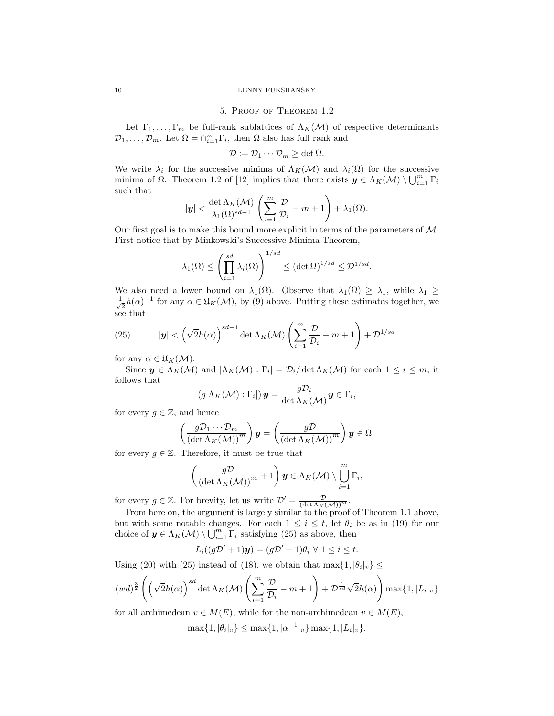## 5. Proof of Theorem [1.2](#page-3-1)

<span id="page-10-0"></span>Let  $\Gamma_1, \ldots, \Gamma_m$  be full-rank sublattices of  $\Lambda_K(\mathcal{M})$  of respective determinants  $\mathcal{D}_1, \ldots, \mathcal{D}_m$ . Let  $\Omega = \cap_{i=1}^m \Gamma_i$ , then  $\Omega$  also has full rank and

$$
\mathcal{D} := \mathcal{D}_1 \cdots \mathcal{D}_m \ge \det \Omega.
$$

We write  $\lambda_i$  for the successive minima of  $\Lambda_K(\mathcal{M})$  and  $\lambda_i(\Omega)$  for the successive minima of  $\Omega$ . Theorem 1.2 of [\[12\]](#page-12-4) implies that there exists  $y \in \Lambda_K(\mathcal{M}) \setminus \bigcup_{i=1}^m \Gamma_i$ such that

$$
|\mathbf{y}| < \frac{\det \Lambda_K(\mathcal{M})}{\lambda_1(\Omega)^{sd-1}} \left( \sum_{i=1}^m \frac{\mathcal{D}}{\mathcal{D}_i} - m + 1 \right) + \lambda_1(\Omega).
$$

Our first goal is to make this bound more explicit in terms of the parameters of  $M$ . First notice that by Minkowski's Successive Minima Theorem,

$$
\lambda_1(\Omega) \le \left(\prod_{i=1}^{sd} \lambda_i(\Omega)\right)^{1/sd} \le (\det \Omega)^{1/sd} \le \mathcal{D}^{1/sd}.
$$

We also need a lower bound on  $\lambda_1(\Omega)$ . Observe that  $\lambda_1(\Omega) \geq \lambda_1$ , while  $\lambda_1 \geq$  $\frac{1}{\sqrt{2}}$  $\frac{1}{2}h(\alpha)^{-1}$  for any  $\alpha \in \mathfrak{U}_K(\mathcal{M})$ , by [\(9\)](#page-5-2) above. Putting these estimates together, we see that

<span id="page-10-1"></span>(25) 
$$
|\mathbf{y}| < \left(\sqrt{2}h(\alpha)\right)^{sd-1} \det \Lambda_K(\mathcal{M}) \left(\sum_{i=1}^m \frac{\mathcal{D}}{\mathcal{D}_i} - m + 1\right) + \mathcal{D}^{1/sd}
$$

for any  $\alpha \in \mathfrak{U}_K(\mathcal{M}).$ 

Since  $y \in \Lambda_K(\mathcal{M})$  and  $|\Lambda_K(\mathcal{M}): \Gamma_i| = \mathcal{D}_i/\det \Lambda_K(\mathcal{M})$  for each  $1 \leq i \leq m$ , it follows that

$$
(g|\Lambda_K(\mathcal{M}) : \Gamma_i|)\mathbf{y} = \frac{g\mathcal{D}_i}{\det \Lambda_K(\mathcal{M})}\mathbf{y} \in \Gamma_i,
$$

for every  $g \in \mathbb{Z}$ , and hence

$$
\left(\frac{g\mathcal{D}_1\cdots\mathcal{D}_m}{\left(\det\Lambda_K(\mathcal{M})\right)^m}\right)\mathbf{y}=\left(\frac{g\mathcal{D}}{\left(\det\Lambda_K(\mathcal{M})\right)^m}\right)\mathbf{y}\in\Omega,
$$

for every  $q \in \mathbb{Z}$ . Therefore, it must be true that

$$
\left(\frac{g\mathcal{D}}{\left(\det \Lambda_K(\mathcal{M})\right)^m} + 1\right)\mathbf{y} \in \Lambda_K(\mathcal{M}) \setminus \bigcup_{i=1}^m \Gamma_i,
$$

for every  $g \in \mathbb{Z}$ . For brevity, let us write  $\mathcal{D}' = \frac{\mathcal{D}}{(\det \Lambda_K(\mathcal{M}))^m}$ .

From here on, the argument is largely similar to the proof of Theorem [1.1](#page-3-0) above, but with some notable changes. For each  $1 \leq i \leq t$ , let  $\theta_i$  be as in [\(19\)](#page-8-2) for our choice of  $y \in \Lambda_K(\mathcal{M}) \setminus \bigcup_{i=1}^m \Gamma_i$  satisfying  $(25)$  as above, then

$$
L_i((g\mathcal{D}'+1)\mathbf{y})=(g\mathcal{D}'+1)\theta_i\ \forall\ 1\leq i\leq t.
$$

Using [\(20\)](#page-8-3) with [\(25\)](#page-10-1) instead of [\(18\)](#page-8-1), we obtain that  $\max\{1, |\theta_i|_v\} \leq$ 

$$
(wd)^{\frac{3}{2}} \left( \left( \sqrt{2}h(\alpha) \right)^{sd} \det \Lambda_K(\mathcal{M}) \left( \sum_{i=1}^m \frac{\mathcal{D}}{\mathcal{D}_i} - m + 1 \right) + \mathcal{D}^{\frac{1}{sd}} \sqrt{2}h(\alpha) \right) \max\{1, |L_i|_v\}
$$

for all archimedean  $v \in M(E)$ , while for the non-archimedean  $v \in M(E)$ ,

 $\max\{1, |\theta_i|_v\} \le \max\{1, |\alpha^{-1}|_v\} \max\{1, |L_i|_v\},$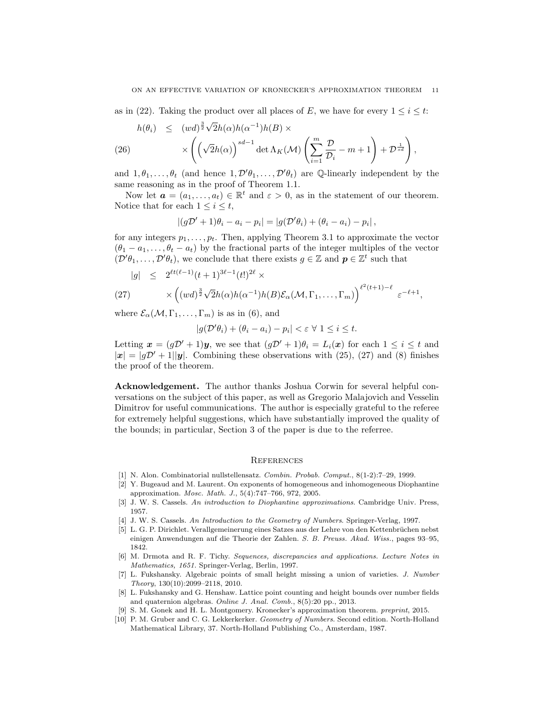as in [\(22\)](#page-9-2). Taking the product over all places of E, we have for every  $1 \leq i \leq t$ :

$$
h(\theta_i) \leq (wd)^{\frac{3}{2}} \sqrt{2}h(\alpha)h(\alpha^{-1})h(B) \times \times \left( \left(\sqrt{2}h(\alpha)\right)^{sd-1} \det \Lambda_K(\mathcal{M}) \left(\sum_{i=1}^m \frac{\mathcal{D}}{\mathcal{D}_i} - m + 1\right) + \mathcal{D}^{\frac{1}{sd}} \right),
$$

and  $1, \theta_1, \ldots, \theta_t$  (and hence  $1, \mathcal{D}'\theta_1, \ldots, \mathcal{D}'\theta_t$ ) are Q-linearly independent by the same reasoning as in the proof of Theorem [1.1.](#page-3-0)

Now let  $\mathbf{a} = (a_1, \ldots, a_t) \in \mathbb{R}^t$  and  $\varepsilon > 0$ , as in the statement of our theorem. Notice that for each  $1 \leq i \leq t$ ,

$$
|(g\mathcal{D}' + 1)\theta_i - a_i - p_i| = |g(\mathcal{D}'\theta_i) + (\theta_i - a_i) - p_i|,
$$

for any integers  $p_1, \ldots, p_t$ . Then, applying Theorem [3.1](#page-7-1) to approximate the vector  $(\theta_1 - a_1, \ldots, \theta_t - a_t)$  by the fractional parts of the integer multiples of the vector  $(\mathcal{D}'\theta_1,\ldots,\mathcal{D}'\theta_t)$ , we conclude that there exists  $g \in \mathbb{Z}$  and  $p \in \mathbb{Z}^t$  such that

<span id="page-11-10"></span>
$$
|g| \leq 2^{\ell t (\ell-1)} (t+1)^{3\ell-1} (t!)^{2\ell} \times
$$
  
(27) 
$$
\times \left( (wd)^{\frac{3}{2}} \sqrt{2} h(\alpha) h(\alpha^{-1}) h(B) \mathcal{E}_{\alpha}(\mathcal{M}, \Gamma_1, \dots, \Gamma_m) \right)^{\ell^2 (t+1) - \ell} \varepsilon^{-\ell+1},
$$

where  $\mathcal{E}_{\alpha}(\mathcal{M}, \Gamma_1, \ldots, \Gamma_m)$  is as in [\(6\)](#page-3-2), and

$$
|g(\mathcal{D}'\theta_i) + (\theta_i - a_i) - p_i| < \varepsilon \ \forall \ 1 \leq i \leq t.
$$

Letting  $\mathbf{x} = (g\mathcal{D}' + 1)\mathbf{y}$ , we see that  $(g\mathcal{D}' + 1)\theta_i = L_i(\mathbf{x})$  for each  $1 \leq i \leq t$  and  $|x| = |qD' + 1||y|$ . Combining these observations with [\(25\)](#page-10-1), [\(27\)](#page-11-10) and [\(8\)](#page-5-4) finishes the proof of the theorem.

Acknowledgement. The author thanks Joshua Corwin for several helpful conversations on the subject of this paper, as well as Gregorio Malajovich and Vesselin Dimitrov for useful communications. The author is especially grateful to the referee for extremely helpful suggestions, which have substantially improved the quality of the bounds; in particular, Section [3](#page-5-0) of the paper is due to the referree.

## **REFERENCES**

- <span id="page-11-2"></span>[1] N. Alon. Combinatorial nullstellensatz. Combin. Probab. Comput., 8(1-2):7–29, 1999.
- <span id="page-11-7"></span>[2] Y. Bugeaud and M. Laurent. On exponents of homogeneous and inhomogeneous Diophantine approximation. Mosc. Math. J., 5(4):747–766, 972, 2005.
- <span id="page-11-6"></span>[3] J. W. S. Cassels. An introduction to Diophantine approximations. Cambridge Univ. Press, 1957.
- <span id="page-11-8"></span>[4] J. W. S. Cassels. An Introduction to the Geometry of Numbers. Springer-Verlag, 1997.
- <span id="page-11-0"></span>[5] L. G. P. Dirichlet. Verallgemeinerung eines Satzes aus der Lehre von den Kettenbrüchen nebst einigen Anwendungen auf die Theorie der Zahlen. S. B. Preuss. Akad. Wiss., pages 93–95, 1842.
- <span id="page-11-4"></span>[6] M. Drmota and R. F. Tichy. Sequences, discrepancies and applications. Lecture Notes in Mathematics, 1651. Springer-Verlag, Berlin, 1997.
- <span id="page-11-3"></span>[7] L. Fukshansky. Algebraic points of small height missing a union of varieties. J. Number Theory, 130(10):2099–2118, 2010.
- <span id="page-11-5"></span>[8] L. Fukshansky and G. Henshaw. Lattice point counting and height bounds over number fields and quaternion algebras. Online J. Anal. Comb., 8(5):20 pp., 2013.
- <span id="page-11-1"></span>[9] S. M. Gonek and H. L. Montgomery. Kronecker's approximation theorem. preprint, 2015.
- <span id="page-11-9"></span>[10] P. M. Gruber and C. G. Lekkerkerker. Geometry of Numbers. Second edition. North-Holland Mathematical Library, 37. North-Holland Publishing Co., Amsterdam, 1987.